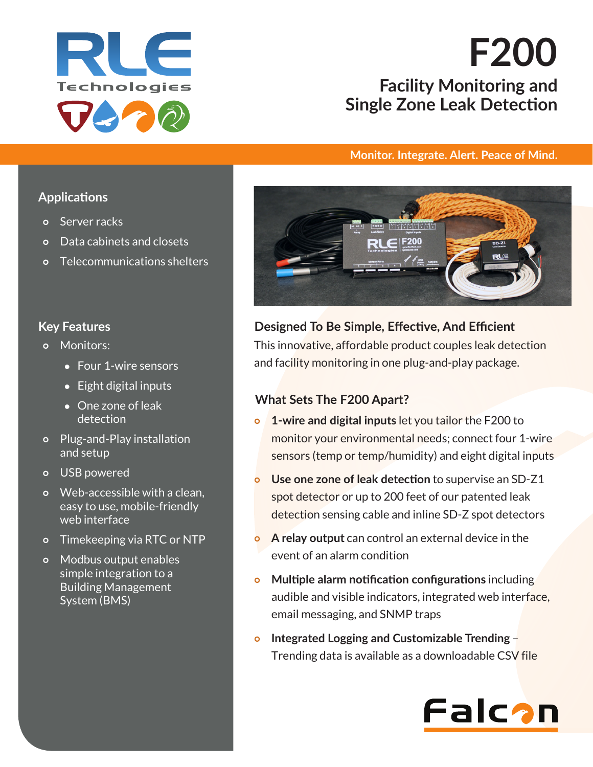

# **Facility Monitoring and Single Zone Leak Detection F200**

#### **Monitor. Integrate. Alert. Peace of Mind.**

#### **Applications**

- Server racks
- Data cabinets and closets
- Telecommunications shelters

## **Key Features**

- o Monitors:
	- Four 1-wire sensors
	- Eight digital inputs
	- One zone of leak detection
- Plug-and-Play installation and setup
- o USB powered
- o Web-accessible with a clean, easy to use, mobile-friendly web interface
- Timekeeping via RTC or NTP
- o Modbus output enables simple integration to a Building Management System (BMS)



# This innovative, affordable product couples leak detection and facility monitoring in one plug-and-play package. **Designed To Be Simple, Effective, And Efficient**

## **What Sets The F200 Apart?**

- **1-wire and digital inputs** let you tailor the F200 to monitor your environmental needs; connect four 1-wire sensors (temp or temp/humidity) and eight digital inputs
- **Use one zone of leak detection** to supervise an SD-Z1 spot detector or up to 200 feet of our patented leak detection sensing cable and inline SD-Z spot detectors
- **A relay output** can control an external device in the event of an alarm condition
- **Multiple alarm notification configurations** including audible and visible indicators, integrated web interface, email messaging, and SNMP traps
- **Integrated Logging and Customizable Trending** Trending data is available as a downloadable CSV file

# Falcan